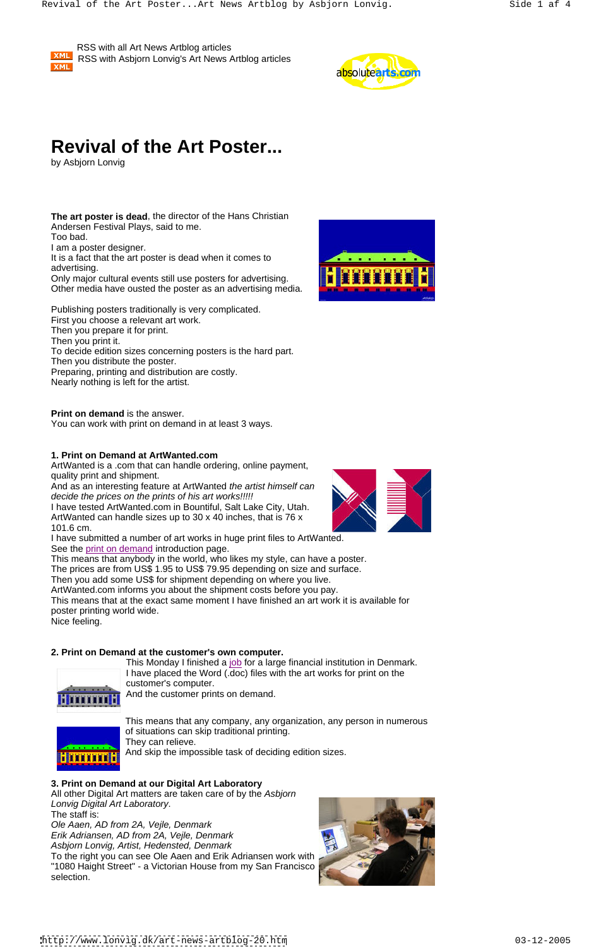**XML** 

 RSS with all Art News Artblog articles RSS with Asbjorn Lonvig's Art News Artblog articles



**The art poster is dead**, the director of the Hans Christian Andersen Festival Plays, said to me. Too bad. I am a poster designer. It is a fact that the art poster is dead when it comes to advertising. The contract of the contract of the contract of the contract of the contract of the contract of the contract of the contract of the contract of the contract of the contract of the contract of the contract of t

# **Revival of the Art Poster...**

by Asbjorn Lonvig

**Only major cultural events still use posters for advertising. THE THE THE** Other media have ousted the poster as an advertising media.

Publishing posters traditionally is very complicated.

And as an interesting feature at ArtWanted the artist himself can decide the prices on the prints of his art works!!!!!

First you choose a relevant art work. Then you prepare it for print.

I have tested ArtWanted.com in Bountiful, Salt Lake City, Utah. ArtWanted can handle sizes up to 30 x 40 inches, that is 76 x 101.6 cm.

Then you print it.

To decide edition sizes concerning posters is the hard part.

Then you distribute the poster.

Preparing, printing and distribution are costly.

Nearly nothing is left for the artist.

**Print on demand** is the answer.

You can work with print on demand in at least 3 ways.

# **1. Print on Demand at ArtWanted.com**

ArtWanted is a .com that can handle ordering, online payment, quality print and shipment.

> This Monday I finished a job for a large financial institution in Denmark. I have placed the Word (.doc) files with the art works for print on the customer's computer.

All other Digital Art matters are taken care of by the Asbjorn Lonvig Digital Art Laboratory. The staff is:

Ole Aaen, AD from 2A, Vejle, Denmark Erik Adriansen, AD from 2A, Vejle, Denmark Asbjorn Lonvig, Artist, Hedensted, Denmark To the right you can see Ole Aaen and Erik Adriansen work with "1080 Haight Street" - a Victorian House from my San Francisco selection.



I have submitted a number of art works in huge print files to ArtWanted. See the print on demand introduction page.



The prices are from US\$ 1.95 to US\$ 79.95 depending on size and surface.

Then you add some US\$ for shipment depending on where you live.

ArtWanted.com informs you about the shipment costs before you pay.

This means that at the exact same moment I have finished an art work it is available for poster printing world wide.

Nice feeling.

# **2. Print on Demand at the customer's own computer.**



And the customer prints on demand.









This means that any company, any organization, any person in numerous of situations can skip traditional printing. They can relieve. And skip the impossible task of deciding edition sizes.

### **3. Print on Demand at our Digital Art Laboratory**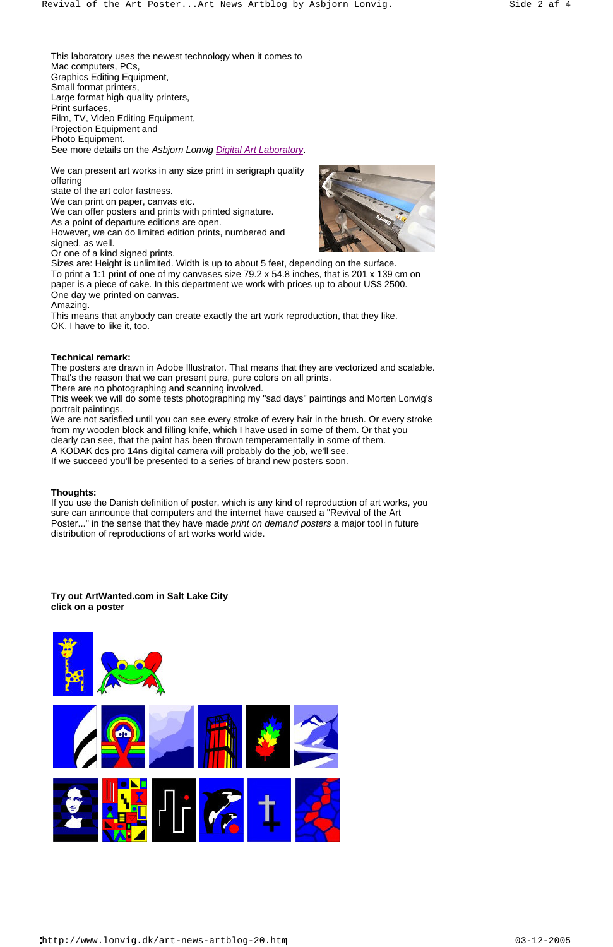This laboratory uses the newest technology when it comes to Mac computers, PCs, Graphics Editing Equipment, Small format printers, Large format high quality printers, Print surfaces, Film, TV, Video Editing Equipment, Projection Equipment and Photo Equipment. See more details on the Asbjorn Lonvig Digital Art Laboratory.

We can present art works in any size print in serigraph quality offering the contract of  $\mathbb{R}$  and  $\mathbb{R}$  and  $\mathbb{R}$  and  $\mathbb{R}$  and  $\mathbb{R}$  and  $\mathbb{R}$  and  $\mathbb{R}$  and  $\mathbb{R}$  and  $\mathbb{R}$  and  $\mathbb{R}$  and  $\mathbb{R}$  and  $\mathbb{R}$  and  $\mathbb{R}$  and  $\mathbb{R}$  and  $\mathbb{R}$  and

state of the art color fastness.

We can print on paper, canvas etc.

We can offer posters and prints with printed signature.

As a point of departure editions are open.

However, we can do limited edition prints, numbered and signed, as well.

Or one of a kind signed prints.

Sizes are: Height is unlimited. Width is up to about 5 feet, depending on the surface. To print a 1:1 print of one of my canvases size 79.2 x 54.8 inches, that is 201 x 139 cm on paper is a piece of cake. In this department we work with prices up to about US\$ 2500.

One day we printed on canvas.

Amazing.

This means that anybody can create exactly the art work reproduction, that they like. OK. I have to like it, too.

### **Technical remark:**

The posters are drawn in Adobe Illustrator. That means that they are vectorized and scalable. That's the reason that we can present pure, pure colors on all prints.

There are no photographing and scanning involved.

This week we will do some tests photographing my "sad days" paintings and Morten Lonvig's portrait paintings.

We are not satisfied until you can see every stroke of every hair in the brush. Or every stroke from my wooden block and filling knife, which I have used in some of them. Or that you

clearly can see, that the paint has been thrown temperamentally in some of them.

A KODAK dcs pro 14ns digital camera will probably do the job, we'll see.

If we succeed you'll be presented to a series of brand new posters soon.

### **Thoughts:**

If you use the Danish definition of poster, which is any kind of reproduction of art works, you sure can announce that computers and the internet have caused a "Revival of the Art Poster..." in the sense that they have made *print on demand posters* a major tool in future distribution of reproductions of art works world wide. \_\_\_\_\_\_\_\_\_\_\_\_\_\_\_\_\_\_\_\_\_\_\_\_\_\_\_\_\_\_\_\_\_\_\_\_\_\_\_\_\_\_\_\_\_\_\_\_\_

**Try out ArtWanted.com in Salt Lake City click on a poster**





<http://www.lonvig.dk/art-news-artblog-20.htm> 03-12-2005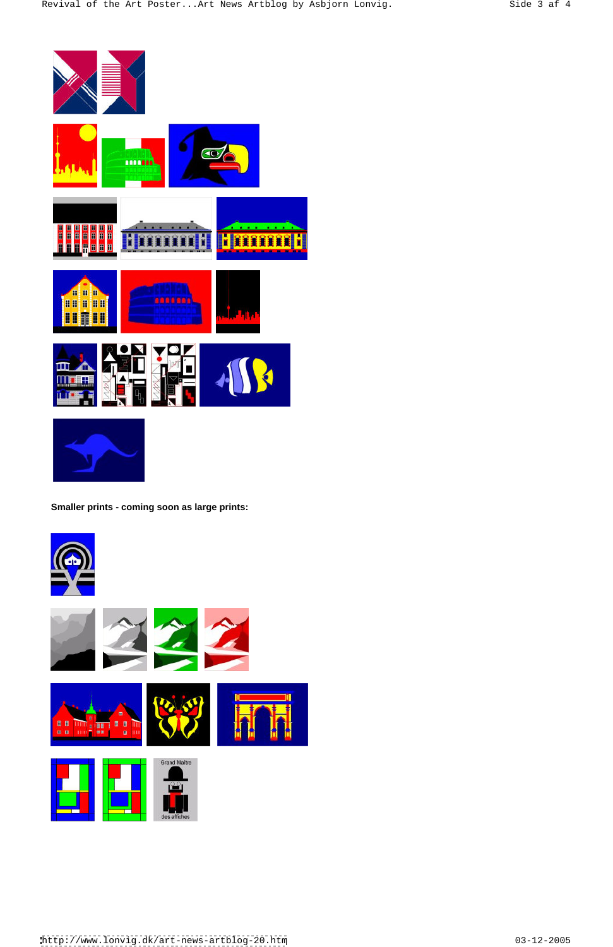











<http://www.lonvig.dk/art-news-artblog-20.htm> 03-12-2005